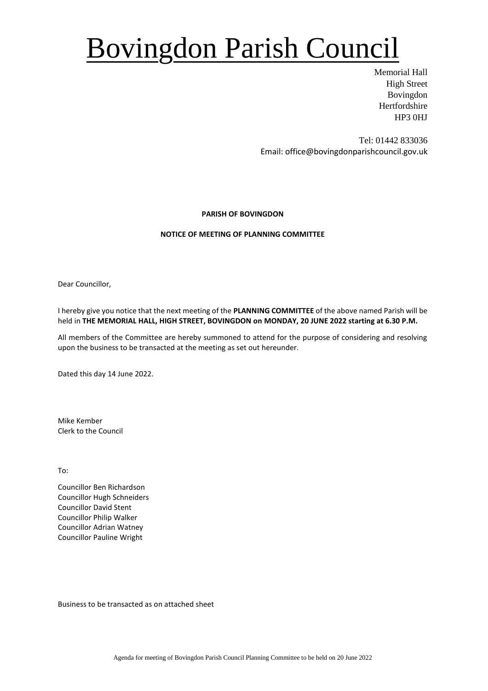# Bovingdon Parish Council

Memorial Hall High Street Bovingdon Hertfordshire HP3 0HJ

Tel: 01442 833036 Email: office@bovingdonparishcouncil.gov.uk

### **PARISH OF BOVINGDON**

### **NOTICE OF MEETING OF PLANNING COMMITTEE**

Dear Councillor,

I hereby give you notice that the next meeting of the **PLANNING COMMITTEE** of the above named Parish will be held in **THE MEMORIAL HALL, HIGH STREET, BOVINGDON on MONDAY, 20 JUNE 2022 starting at 6.30 P.M.**

All members of the Committee are hereby summoned to attend for the purpose of considering and resolving upon the business to be transacted at the meeting as set out hereunder.

Dated this day 14 June 2022.

Mike Kember Clerk to the Council

To:

Councillor Ben Richardson Councillor Hugh Schneiders Councillor David Stent Councillor Philip Walker Councillor Adrian Watney Councillor Pauline Wright

Business to be transacted as on attached sheet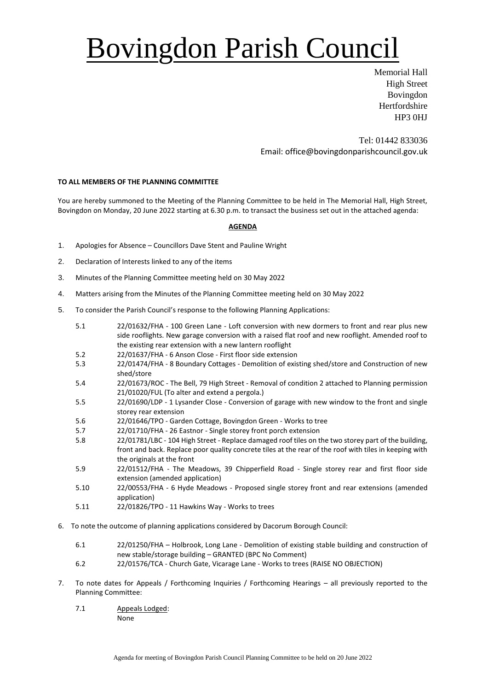# Bovingdon Parish Council

Memorial Hall High Street Bovingdon **Hertfordshire** HP3 0HJ

Tel: 01442 833036 Email: office@bovingdonparishcouncil.gov.uk

### **TO ALL MEMBERS OF THE PLANNING COMMITTEE**

You are hereby summoned to the Meeting of the Planning Committee to be held in The Memorial Hall, High Street, Bovingdon on Monday, 20 June 2022 starting at 6.30 p.m. to transact the business set out in the attached agenda:

#### **AGENDA**

- 1. Apologies for Absence Councillors Dave Stent and Pauline Wright
- 2. Declaration of Interests linked to any of the items
- 3. Minutes of the Planning Committee meeting held on 30 May 2022
- 4. Matters arising from the Minutes of the Planning Committee meeting held on 30 May 2022
- 5. To consider the Parish Council's response to the following Planning Applications:
	- 5.1 22/01632/FHA 100 Green Lane Loft conversion with new dormers to front and rear plus new side rooflights. New garage conversion with a raised flat roof and new rooflight. Amended roof to the existing rear extension with a new lantern rooflight
	- 5.2 22/01637/FHA 6 Anson Close First floor side extension
	- 5.3 22/01474/FHA 8 Boundary Cottages Demolition of existing shed/store and Construction of new shed/store
	- 5.4 22/01673/ROC The Bell, 79 High Street Removal of condition 2 attached to Planning permission 21/01020/FUL (To alter and extend a pergola.)
	- 5.5 22/01690/LDP 1 Lysander Close Conversion of garage with new window to the front and single storey rear extension
	- 5.6 22/01646/TPO Garden Cottage, Bovingdon Green Works to tree
	- 5.7 22/01710/FHA 26 Eastnor Single storey front porch extension
	- 5.8 22/01781/LBC 104 High Street Replace damaged roof tiles on the two storey part of the building, front and back. Replace poor quality concrete tiles at the rear of the roof with tiles in keeping with the originals at the front
	- 5.9 22/01512/FHA The Meadows, 39 Chipperfield Road Single storey rear and first floor side extension (amended application)
	- 5.10 22/00553/FHA 6 Hyde Meadows Proposed single storey front and rear extensions (amended application)
	- 5.11 22/01826/TPO 11 Hawkins Way Works to trees
- 6. To note the outcome of planning applications considered by Dacorum Borough Council:
	- 6.1 22/01250/FHA Holbrook, Long Lane Demolition of existing stable building and construction of new stable/storage building – GRANTED (BPC No Comment)
	- 6.2 22/01576/TCA Church Gate, Vicarage Lane Works to trees (RAISE NO OBJECTION)
- 7. To note dates for Appeals / Forthcoming Inquiries / Forthcoming Hearings all previously reported to the Planning Committee:
	- 7.1 Appeals Lodged: None